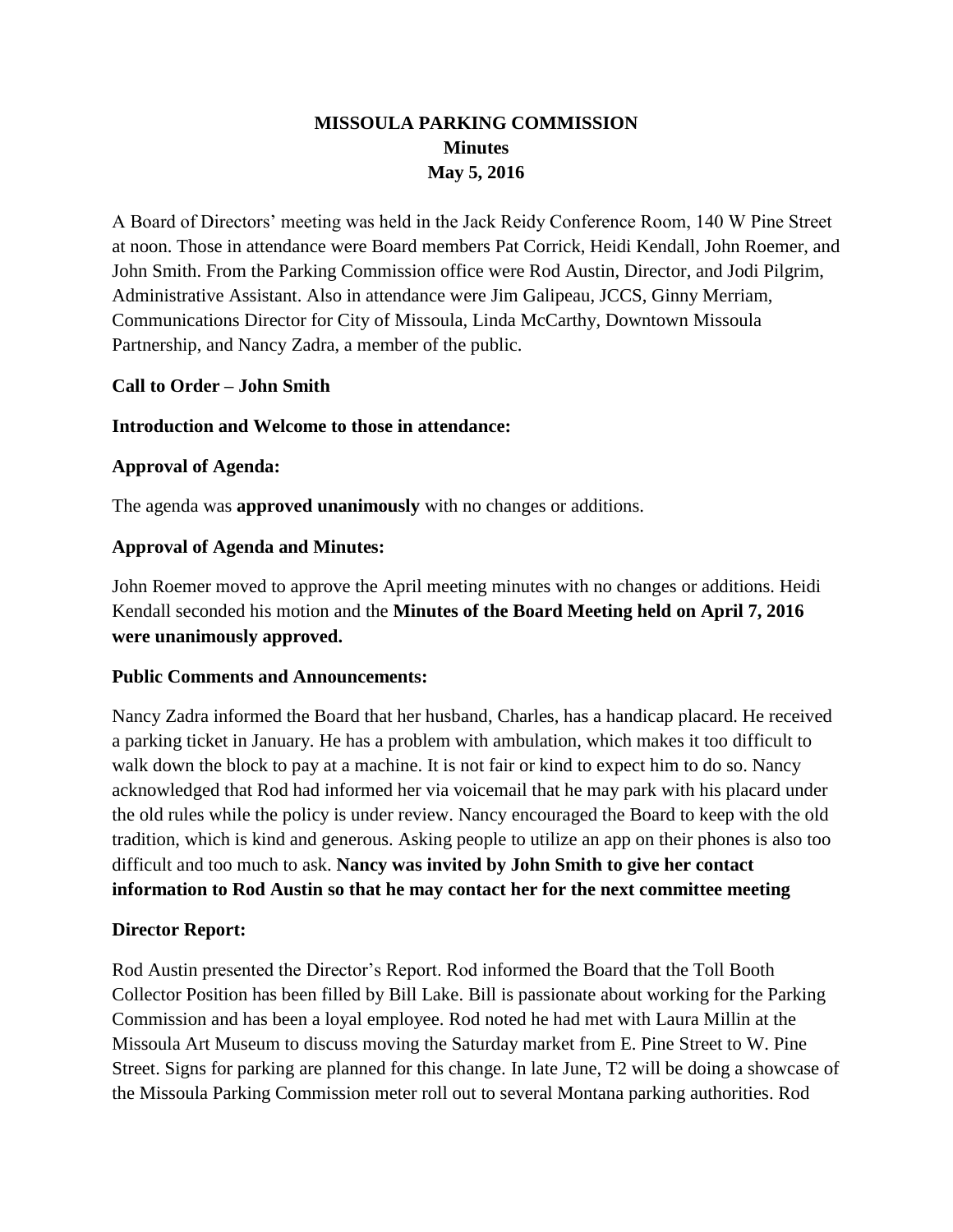# **MISSOULA PARKING COMMISSION Minutes May 5, 2016**

A Board of Directors' meeting was held in the Jack Reidy Conference Room, 140 W Pine Street at noon. Those in attendance were Board members Pat Corrick, Heidi Kendall, John Roemer, and John Smith. From the Parking Commission office were Rod Austin, Director, and Jodi Pilgrim, Administrative Assistant. Also in attendance were Jim Galipeau, JCCS, Ginny Merriam, Communications Director for City of Missoula, Linda McCarthy, Downtown Missoula Partnership, and Nancy Zadra, a member of the public.

## **Call to Order – John Smith**

#### **Introduction and Welcome to those in attendance:**

### **Approval of Agenda:**

The agenda was **approved unanimously** with no changes or additions.

### **Approval of Agenda and Minutes:**

John Roemer moved to approve the April meeting minutes with no changes or additions. Heidi Kendall seconded his motion and the **Minutes of the Board Meeting held on April 7, 2016 were unanimously approved.**

#### **Public Comments and Announcements:**

Nancy Zadra informed the Board that her husband, Charles, has a handicap placard. He received a parking ticket in January. He has a problem with ambulation, which makes it too difficult to walk down the block to pay at a machine. It is not fair or kind to expect him to do so. Nancy acknowledged that Rod had informed her via voicemail that he may park with his placard under the old rules while the policy is under review. Nancy encouraged the Board to keep with the old tradition, which is kind and generous. Asking people to utilize an app on their phones is also too difficult and too much to ask. **Nancy was invited by John Smith to give her contact information to Rod Austin so that he may contact her for the next committee meeting**

#### **Director Report:**

Rod Austin presented the Director's Report. Rod informed the Board that the Toll Booth Collector Position has been filled by Bill Lake. Bill is passionate about working for the Parking Commission and has been a loyal employee. Rod noted he had met with Laura Millin at the Missoula Art Museum to discuss moving the Saturday market from E. Pine Street to W. Pine Street. Signs for parking are planned for this change. In late June, T2 will be doing a showcase of the Missoula Parking Commission meter roll out to several Montana parking authorities. Rod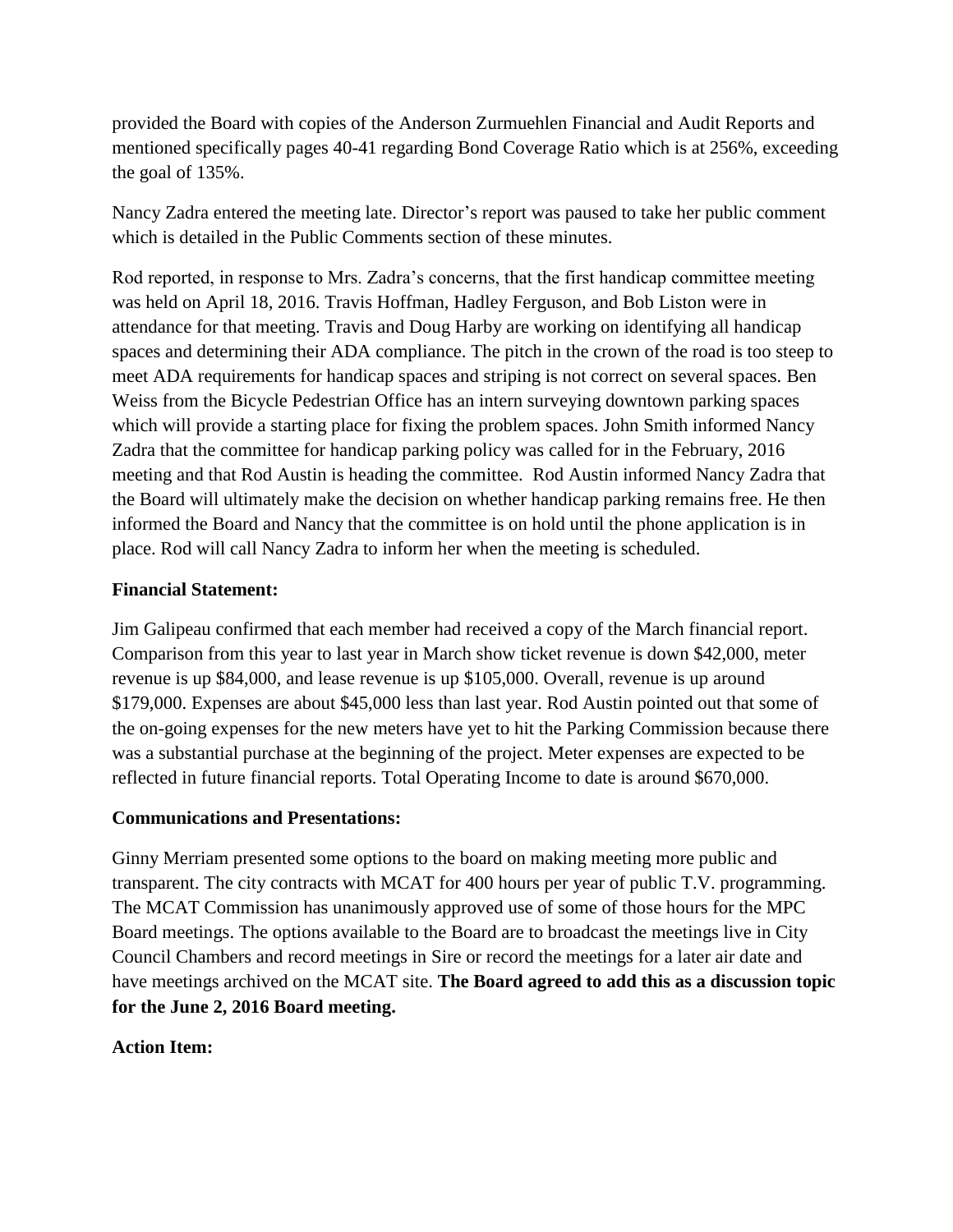provided the Board with copies of the Anderson Zurmuehlen Financial and Audit Reports and mentioned specifically pages 40-41 regarding Bond Coverage Ratio which is at 256%, exceeding the goal of 135%.

Nancy Zadra entered the meeting late. Director's report was paused to take her public comment which is detailed in the Public Comments section of these minutes.

Rod reported, in response to Mrs. Zadra's concerns, that the first handicap committee meeting was held on April 18, 2016. Travis Hoffman, Hadley Ferguson, and Bob Liston were in attendance for that meeting. Travis and Doug Harby are working on identifying all handicap spaces and determining their ADA compliance. The pitch in the crown of the road is too steep to meet ADA requirements for handicap spaces and striping is not correct on several spaces. Ben Weiss from the Bicycle Pedestrian Office has an intern surveying downtown parking spaces which will provide a starting place for fixing the problem spaces. John Smith informed Nancy Zadra that the committee for handicap parking policy was called for in the February, 2016 meeting and that Rod Austin is heading the committee. Rod Austin informed Nancy Zadra that the Board will ultimately make the decision on whether handicap parking remains free. He then informed the Board and Nancy that the committee is on hold until the phone application is in place. Rod will call Nancy Zadra to inform her when the meeting is scheduled.

## **Financial Statement:**

Jim Galipeau confirmed that each member had received a copy of the March financial report. Comparison from this year to last year in March show ticket revenue is down \$42,000, meter revenue is up \$84,000, and lease revenue is up \$105,000. Overall, revenue is up around \$179,000. Expenses are about \$45,000 less than last year. Rod Austin pointed out that some of the on-going expenses for the new meters have yet to hit the Parking Commission because there was a substantial purchase at the beginning of the project. Meter expenses are expected to be reflected in future financial reports. Total Operating Income to date is around \$670,000.

## **Communications and Presentations:**

Ginny Merriam presented some options to the board on making meeting more public and transparent. The city contracts with MCAT for 400 hours per year of public T.V. programming. The MCAT Commission has unanimously approved use of some of those hours for the MPC Board meetings. The options available to the Board are to broadcast the meetings live in City Council Chambers and record meetings in Sire or record the meetings for a later air date and have meetings archived on the MCAT site. **The Board agreed to add this as a discussion topic for the June 2, 2016 Board meeting.** 

## **Action Item:**